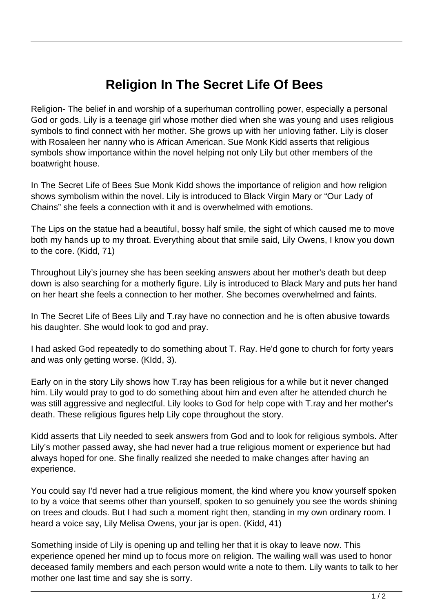## **Religion In The Secret Life Of Bees**

Religion- The belief in and worship of a superhuman controlling power, especially a personal God or gods. Lily is a teenage girl whose mother died when she was young and uses religious symbols to find connect with her mother. She grows up with her unloving father. Lily is closer with Rosaleen her nanny who is African American. Sue Monk Kidd asserts that religious symbols show importance within the novel helping not only Lily but other members of the boatwright house.

In The Secret Life of Bees Sue Monk Kidd shows the importance of religion and how religion shows symbolism within the novel. Lily is introduced to Black Virgin Mary or "Our Lady of Chains" she feels a connection with it and is overwhelmed with emotions.

The Lips on the statue had a beautiful, bossy half smile, the sight of which caused me to move both my hands up to my throat. Everything about that smile said, Lily Owens, I know you down to the core. (Kidd, 71)

Throughout Lily's journey she has been seeking answers about her mother's death but deep down is also searching for a motherly figure. Lily is introduced to Black Mary and puts her hand on her heart she feels a connection to her mother. She becomes overwhelmed and faints.

In The Secret Life of Bees Lily and T.ray have no connection and he is often abusive towards his daughter. She would look to god and pray.

I had asked God repeatedly to do something about T. Ray. He'd gone to church for forty years and was only getting worse. (KIdd, 3).

Early on in the story Lily shows how T.ray has been religious for a while but it never changed him. Lily would pray to god to do something about him and even after he attended church he was still aggressive and neglectful. Lily looks to God for help cope with T.ray and her mother's death. These religious figures help Lily cope throughout the story.

Kidd asserts that Lily needed to seek answers from God and to look for religious symbols. After Lily's mother passed away, she had never had a true religious moment or experience but had always hoped for one. She finally realized she needed to make changes after having an experience.

You could say I'd never had a true religious moment, the kind where you know yourself spoken to by a voice that seems other than yourself, spoken to so genuinely you see the words shining on trees and clouds. But I had such a moment right then, standing in my own ordinary room. I heard a voice say, Lily Melisa Owens, your jar is open. (Kidd, 41)

Something inside of Lily is opening up and telling her that it is okay to leave now. This experience opened her mind up to focus more on religion. The wailing wall was used to honor deceased family members and each person would write a note to them. Lily wants to talk to her mother one last time and say she is sorry.